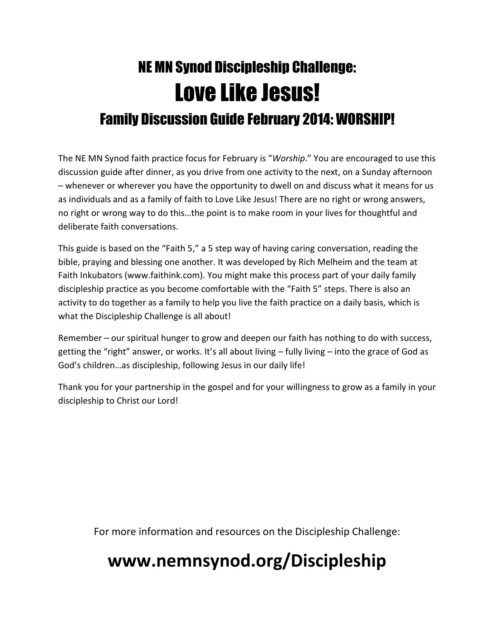# NE MN Synod Discipleship Challenge: Love Like Jesus! Family Discussion Guide February 2014: WORSHIP!

The NE MN Synod faith practice focus for February is "*Worship*." You are encouraged to use this discussion guide after dinner, as you drive from one activity to the next, on a Sunday afternoon – whenever or wherever you have the opportunity to dwell on and discuss what it means for us as individuals and as a family of faith to Love Like Jesus! There are no right or wrong answers, no right or wrong way to do this…the point is to make room in your lives for thoughtful and deliberate faith conversations.

This guide is based on the "Faith 5," a 5 step way of having caring conversation, reading the bible, praying and blessing one another. It was developed by Rich Melheim and the team at Faith Inkubators (www.faithink.com). You might make this process part of your daily family discipleship practice as you become comfortable with the "Faith 5" steps. There is also an activity to do together as a family to help you live the faith practice on a daily basis, which is what the Discipleship Challenge is all about!

Remember – our spiritual hunger to grow and deepen our faith has nothing to do with success, getting the "right" answer, or works. It's all about living – fully living – into the grace of God as God's children…as discipleship, following Jesus in our daily life!

Thank you for your partnership in the gospel and for your willingness to grow as a family in your discipleship to Christ our Lord!

For more information and resources on the Discipleship Challenge:

## **www.nemnsynod.org/Discipleship**